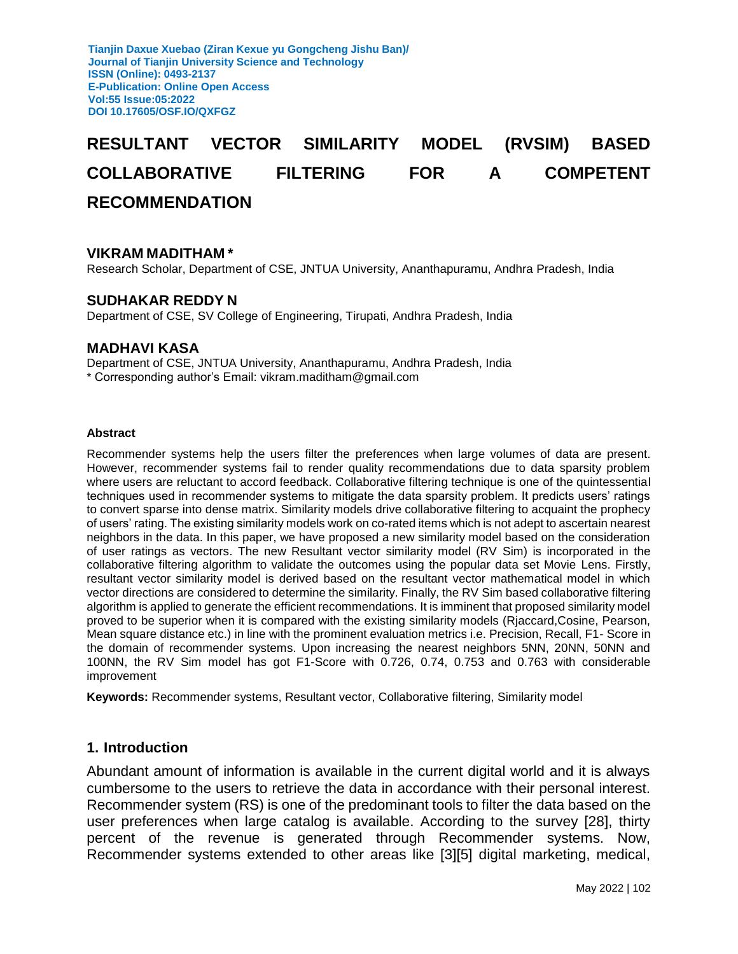# **RESULTANT VECTOR SIMILARITY MODEL (RVSIM) BASED COLLABORATIVE FILTERING FOR A COMPETENT RECOMMENDATION**

#### **VIKRAM MADITHAM \***

Research Scholar, Department of CSE, JNTUA University, Ananthapuramu, Andhra Pradesh, India

#### **SUDHAKAR REDDY N**

Department of CSE, SV College of Engineering, Tirupati, Andhra Pradesh, India

#### **MADHAVI KASA**

Department of CSE, JNTUA University, Ananthapuramu, Andhra Pradesh, India \* Corresponding author's Email: vikram.maditham@gmail.com

#### **Abstract**

Recommender systems help the users filter the preferences when large volumes of data are present. However, recommender systems fail to render quality recommendations due to data sparsity problem where users are reluctant to accord feedback. Collaborative filtering technique is one of the quintessential techniques used in recommender systems to mitigate the data sparsity problem. It predicts users' ratings to convert sparse into dense matrix. Similarity models drive collaborative filtering to acquaint the prophecy of users' rating. The existing similarity models work on co-rated items which is not adept to ascertain nearest neighbors in the data. In this paper, we have proposed a new similarity model based on the consideration of user ratings as vectors. The new Resultant vector similarity model (RV Sim) is incorporated in the collaborative filtering algorithm to validate the outcomes using the popular data set Movie Lens. Firstly, resultant vector similarity model is derived based on the resultant vector mathematical model in which vector directions are considered to determine the similarity. Finally, the RV Sim based collaborative filtering algorithm is applied to generate the efficient recommendations. It is imminent that proposed similarity model proved to be superior when it is compared with the existing similarity models (Rjaccard,Cosine, Pearson, Mean square distance etc.) in line with the prominent evaluation metrics i.e. Precision, Recall, F1- Score in the domain of recommender systems. Upon increasing the nearest neighbors 5NN, 20NN, 50NN and 100NN, the RV Sim model has got F1-Score with 0.726, 0.74, 0.753 and 0.763 with considerable improvement

**Keywords:** Recommender systems, Resultant vector, Collaborative filtering, Similarity model

#### **1. Introduction**

Abundant amount of information is available in the current digital world and it is always cumbersome to the users to retrieve the data in accordance with their personal interest. Recommender system (RS) is one of the predominant tools to filter the data based on the user preferences when large catalog is available. According to the survey [28], thirty percent of the revenue is generated through Recommender systems. Now, Recommender systems extended to other areas like [3][5] digital marketing, medical,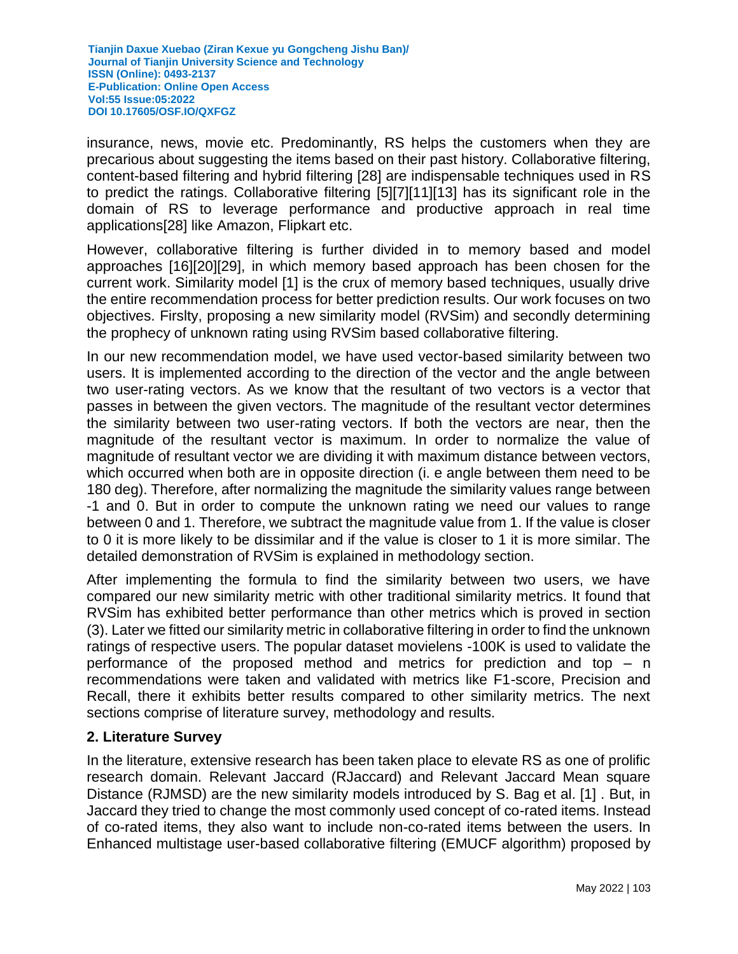insurance, news, movie etc. Predominantly, RS helps the customers when they are precarious about suggesting the items based on their past history. Collaborative filtering, content-based filtering and hybrid filtering [28] are indispensable techniques used in RS to predict the ratings. Collaborative filtering [5][7][11][13] has its significant role in the domain of RS to leverage performance and productive approach in real time applications[28] like Amazon, Flipkart etc.

However, collaborative filtering is further divided in to memory based and model approaches [16][20][29], in which memory based approach has been chosen for the current work. Similarity model [1] is the crux of memory based techniques, usually drive the entire recommendation process for better prediction results. Our work focuses on two objectives. Firslty, proposing a new similarity model (RVSim) and secondly determining the prophecy of unknown rating using RVSim based collaborative filtering.

In our new recommendation model, we have used vector-based similarity between two users. It is implemented according to the direction of the vector and the angle between two user-rating vectors. As we know that the resultant of two vectors is a vector that passes in between the given vectors. The magnitude of the resultant vector determines the similarity between two user-rating vectors. If both the vectors are near, then the magnitude of the resultant vector is maximum. In order to normalize the value of magnitude of resultant vector we are dividing it with maximum distance between vectors, which occurred when both are in opposite direction (i. e angle between them need to be 180 deg). Therefore, after normalizing the magnitude the similarity values range between -1 and 0. But in order to compute the unknown rating we need our values to range between 0 and 1. Therefore, we subtract the magnitude value from 1. If the value is closer to 0 it is more likely to be dissimilar and if the value is closer to 1 it is more similar. The detailed demonstration of RVSim is explained in methodology section.

After implementing the formula to find the similarity between two users, we have compared our new similarity metric with other traditional similarity metrics. It found that RVSim has exhibited better performance than other metrics which is proved in section (3). Later we fitted our similarity metric in collaborative filtering in order to find the unknown ratings of respective users. The popular dataset movielens -100K is used to validate the performance of the proposed method and metrics for prediction and top – n recommendations were taken and validated with metrics like F1-score, Precision and Recall, there it exhibits better results compared to other similarity metrics. The next sections comprise of literature survey, methodology and results.

## **2. Literature Survey**

In the literature, extensive research has been taken place to elevate RS as one of prolific research domain. Relevant Jaccard (RJaccard) and Relevant Jaccard Mean square Distance (RJMSD) are the new similarity models introduced by S. Bag et al. [1] . But, in Jaccard they tried to change the most commonly used concept of co-rated items. Instead of co-rated items, they also want to include non-co-rated items between the users. In Enhanced multistage user-based collaborative filtering (EMUCF algorithm) proposed by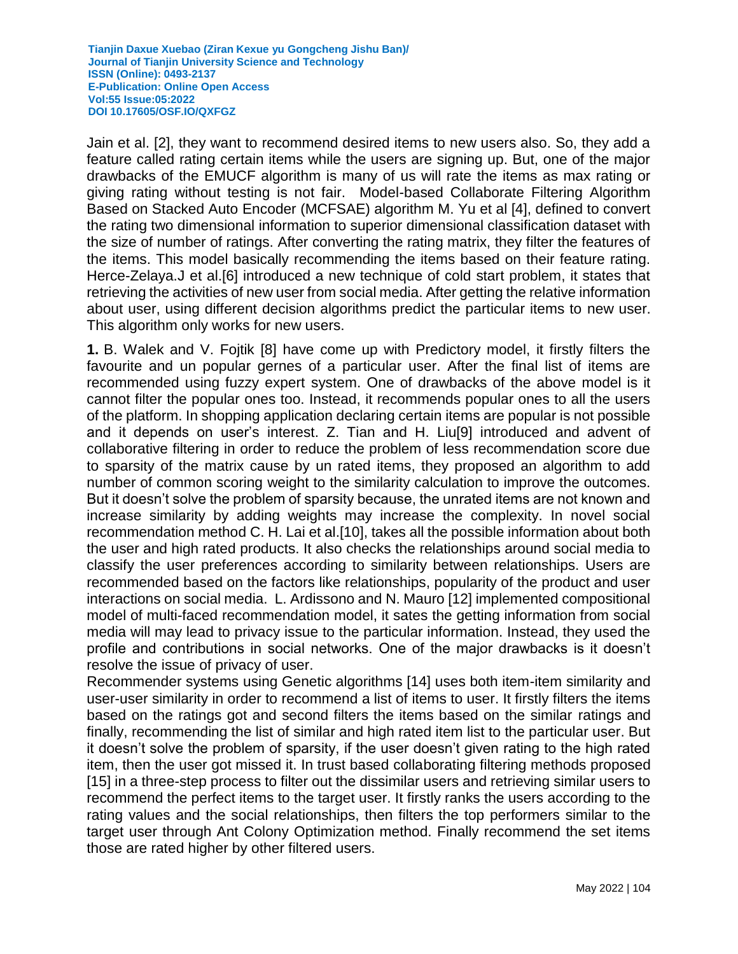Jain et al. [2], they want to recommend desired items to new users also. So, they add a feature called rating certain items while the users are signing up. But, one of the major drawbacks of the EMUCF algorithm is many of us will rate the items as max rating or giving rating without testing is not fair. Model-based Collaborate Filtering Algorithm Based on Stacked Auto Encoder (MCFSAE) algorithm M. Yu et al [4], defined to convert the rating two dimensional information to superior dimensional classification dataset with the size of number of ratings. After converting the rating matrix, they filter the features of the items. This model basically recommending the items based on their feature rating. Herce-Zelaya.J et al.[6] introduced a new technique of cold start problem, it states that retrieving the activities of new user from social media. After getting the relative information about user, using different decision algorithms predict the particular items to new user. This algorithm only works for new users.

**1.** B. Walek and V. Fojtik [8] have come up with Predictory model, it firstly filters the favourite and un popular gernes of a particular user. After the final list of items are recommended using fuzzy expert system. One of drawbacks of the above model is it cannot filter the popular ones too. Instead, it recommends popular ones to all the users of the platform. In shopping application declaring certain items are popular is not possible and it depends on user's interest. Z. Tian and H. Liu[9] introduced and advent of collaborative filtering in order to reduce the problem of less recommendation score due to sparsity of the matrix cause by un rated items, they proposed an algorithm to add number of common scoring weight to the similarity calculation to improve the outcomes. But it doesn't solve the problem of sparsity because, the unrated items are not known and increase similarity by adding weights may increase the complexity. In novel social recommendation method C. H. Lai et al.[10], takes all the possible information about both the user and high rated products. It also checks the relationships around social media to classify the user preferences according to similarity between relationships. Users are recommended based on the factors like relationships, popularity of the product and user interactions on social media. L. Ardissono and N. Mauro [12] implemented compositional model of multi-faced recommendation model, it sates the getting information from social media will may lead to privacy issue to the particular information. Instead, they used the profile and contributions in social networks. One of the major drawbacks is it doesn't resolve the issue of privacy of user.

Recommender systems using Genetic algorithms [14] uses both item-item similarity and user-user similarity in order to recommend a list of items to user. It firstly filters the items based on the ratings got and second filters the items based on the similar ratings and finally, recommending the list of similar and high rated item list to the particular user. But it doesn't solve the problem of sparsity, if the user doesn't given rating to the high rated item, then the user got missed it. In trust based collaborating filtering methods proposed [15] in a three-step process to filter out the dissimilar users and retrieving similar users to recommend the perfect items to the target user. It firstly ranks the users according to the rating values and the social relationships, then filters the top performers similar to the target user through Ant Colony Optimization method. Finally recommend the set items those are rated higher by other filtered users.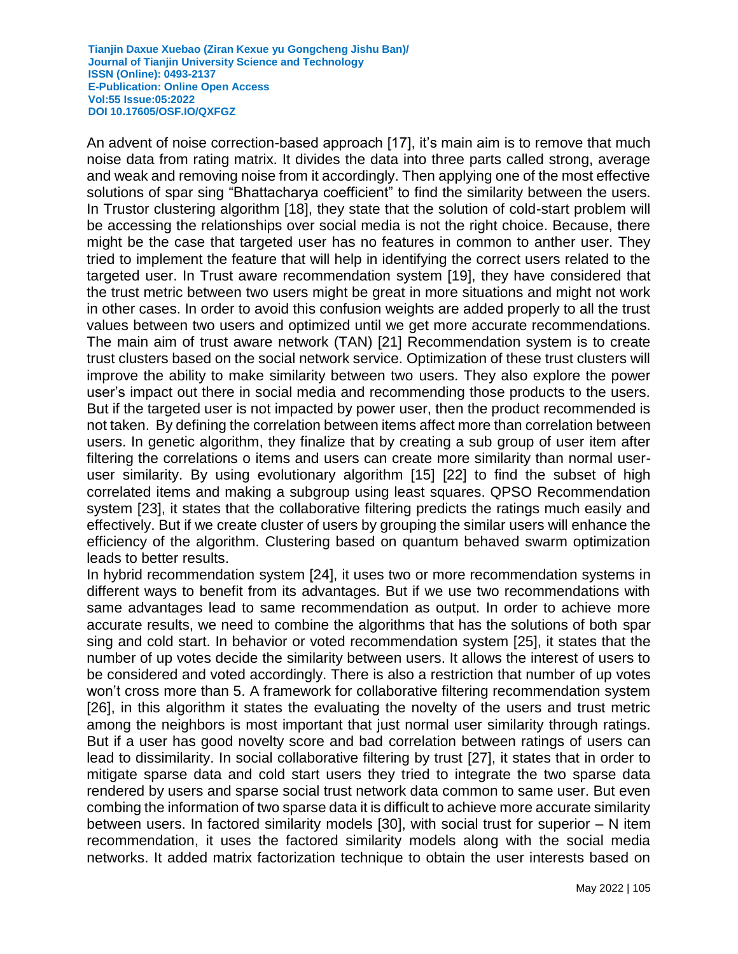An advent of noise correction-based approach [17], it's main aim is to remove that much noise data from rating matrix. It divides the data into three parts called strong, average and weak and removing noise from it accordingly. Then applying one of the most effective solutions of spar sing "Bhattacharya coefficient" to find the similarity between the users. In Trustor clustering algorithm [18], they state that the solution of cold-start problem will be accessing the relationships over social media is not the right choice. Because, there might be the case that targeted user has no features in common to anther user. They tried to implement the feature that will help in identifying the correct users related to the targeted user. In Trust aware recommendation system [19], they have considered that the trust metric between two users might be great in more situations and might not work in other cases. In order to avoid this confusion weights are added properly to all the trust values between two users and optimized until we get more accurate recommendations. The main aim of trust aware network (TAN) [21] Recommendation system is to create trust clusters based on the social network service. Optimization of these trust clusters will improve the ability to make similarity between two users. They also explore the power user's impact out there in social media and recommending those products to the users. But if the targeted user is not impacted by power user, then the product recommended is not taken. By defining the correlation between items affect more than correlation between users. In genetic algorithm, they finalize that by creating a sub group of user item after filtering the correlations o items and users can create more similarity than normal useruser similarity. By using evolutionary algorithm [15] [22] to find the subset of high correlated items and making a subgroup using least squares. QPSO Recommendation system [23], it states that the collaborative filtering predicts the ratings much easily and effectively. But if we create cluster of users by grouping the similar users will enhance the efficiency of the algorithm. Clustering based on quantum behaved swarm optimization leads to better results.

In hybrid recommendation system [24], it uses two or more recommendation systems in different ways to benefit from its advantages. But if we use two recommendations with same advantages lead to same recommendation as output. In order to achieve more accurate results, we need to combine the algorithms that has the solutions of both spar sing and cold start. In behavior or voted recommendation system [25], it states that the number of up votes decide the similarity between users. It allows the interest of users to be considered and voted accordingly. There is also a restriction that number of up votes won't cross more than 5. A framework for collaborative filtering recommendation system [26], in this algorithm it states the evaluating the novelty of the users and trust metric among the neighbors is most important that just normal user similarity through ratings. But if a user has good novelty score and bad correlation between ratings of users can lead to dissimilarity. In social collaborative filtering by trust [27], it states that in order to mitigate sparse data and cold start users they tried to integrate the two sparse data rendered by users and sparse social trust network data common to same user. But even combing the information of two sparse data it is difficult to achieve more accurate similarity between users. In factored similarity models [30], with social trust for superior – N item recommendation, it uses the factored similarity models along with the social media networks. It added matrix factorization technique to obtain the user interests based on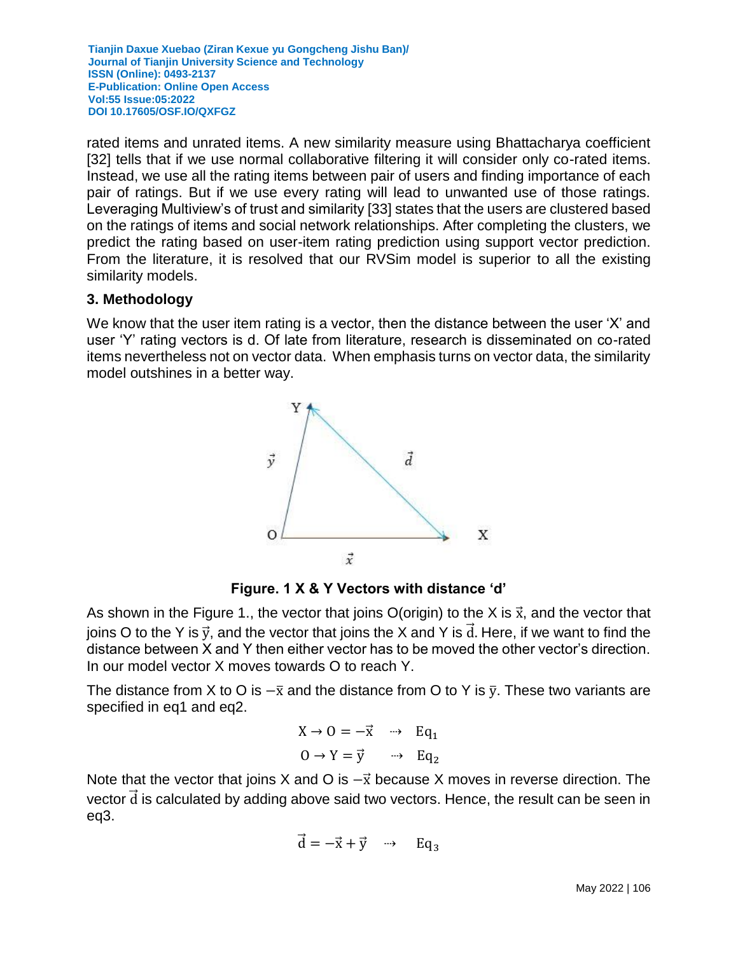rated items and unrated items. A new similarity measure using Bhattacharya coefficient [32] tells that if we use normal collaborative filtering it will consider only co-rated items. Instead, we use all the rating items between pair of users and finding importance of each pair of ratings. But if we use every rating will lead to unwanted use of those ratings. Leveraging Multiview's of trust and similarity [33] states that the users are clustered based on the ratings of items and social network relationships. After completing the clusters, we predict the rating based on user-item rating prediction using support vector prediction. From the literature, it is resolved that our RVSim model is superior to all the existing similarity models.

#### **3. Methodology**

We know that the user item rating is a vector, then the distance between the user 'X' and user 'Y' rating vectors is d. Of late from literature, research is disseminated on co-rated items nevertheless not on vector data. When emphasis turns on vector data, the similarity model outshines in a better way.



**Figure. 1 X & Y Vectors with distance 'd'**

As shown in the Figure 1., the vector that joins O(origin) to the X is  $\vec{x}$ , and the vector that joins O to the Y is  $\vec{y}$ , and the vector that joins the X and Y is  $\vec{d}$ . Here, if we want to find the distance between X and Y then either vector has to be moved the other vector's direction. In our model vector X moves towards O to reach Y.

The distance from X to O is  $-\bar{x}$  and the distance from O to Y is  $\bar{y}$ . These two variants are specified in eq1 and eq2.

$$
X \to 0 = -\vec{x} \quad \rightarrow \quad Eq_1
$$

$$
0 \to Y = \vec{y} \quad \rightarrow \quad Eq_2
$$

Note that the vector that joins X and O is  $-\vec{x}$  because X moves in reverse direction. The vector  $\overline{d}$  is calculated by adding above said two vectors. Hence, the result can be seen in eq3.

$$
\vec{d} = -\vec{x} + \vec{y} \quad \rightarrow \quad Eq_3
$$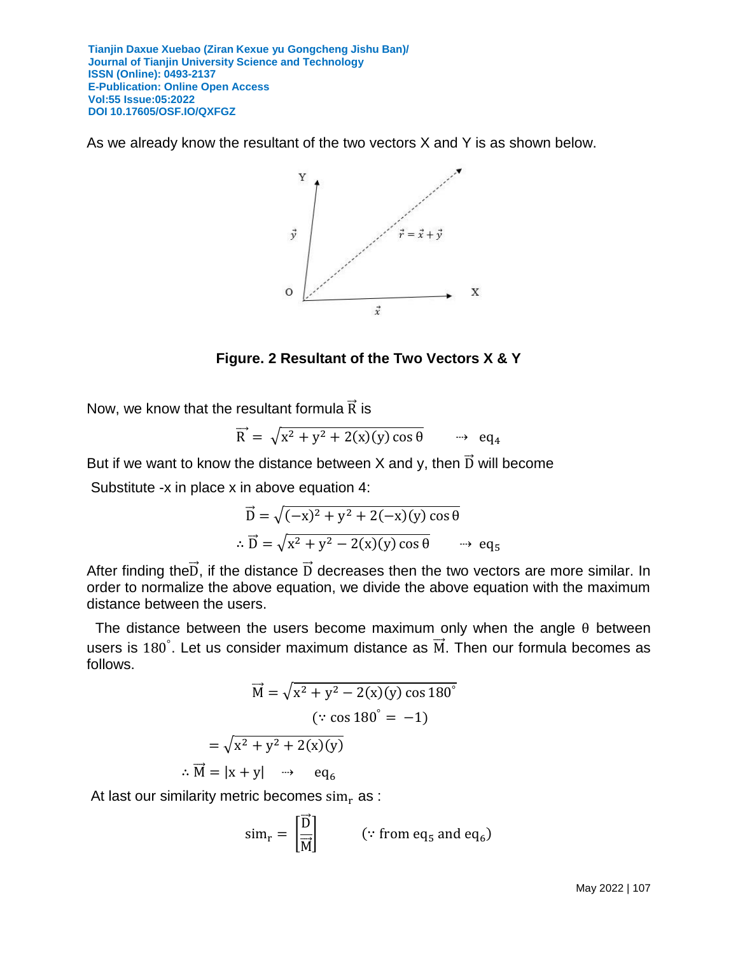As we already know the resultant of the two vectors X and Y is as shown below.



**Figure. 2 Resultant of the Two Vectors X & Y**

Now, we know that the resultant formula  $\vec{R}$  is

$$
\overrightarrow{R} = \sqrt{x^2 + y^2 + 2(x)(y)\cos\theta} \qquad \rightarrow \text{eq}_4
$$

But if we want to know the distance between X and y, then  $\vec{D}$  will become

Substitute -x in place x in above equation 4:

$$
\vec{D} = \sqrt{(-x)^2 + y^2 + 2(-x)(y)\cos\theta}
$$
  

$$
\therefore \vec{D} = \sqrt{x^2 + y^2 - 2(x)(y)\cos\theta} \qquad \Rightarrow \text{eq}_5
$$

After finding the $\vec{D}$ , if the distance  $\vec{D}$  decreases then the two vectors are more similar. In order to normalize the above equation, we divide the above equation with the maximum distance between the users.

The distance between the users become maximum only when the angle  $\theta$  between users is 180°. Let us consider maximum distance as  $\vec{M}$ . Then our formula becomes as follows.

$$
\overrightarrow{M} = \sqrt{x^2 + y^2 - 2(x)(y) \cos 180^\circ}
$$
  
( $\because \cos 180^\circ = -1$ )  

$$
= \sqrt{x^2 + y^2 + 2(x)(y)}
$$
  
 $\therefore \overrightarrow{M} = |x + y| \implies eq_6$ 

At last our similarity metric becomes  $sim_r$  as :

$$
\operatorname{sim}_{\mathrm{r}} = \left[\frac{\vec{D}}{\vec{M}}\right] \qquad (\because \text{ from eq}_{5} \text{ and eq}_{6})
$$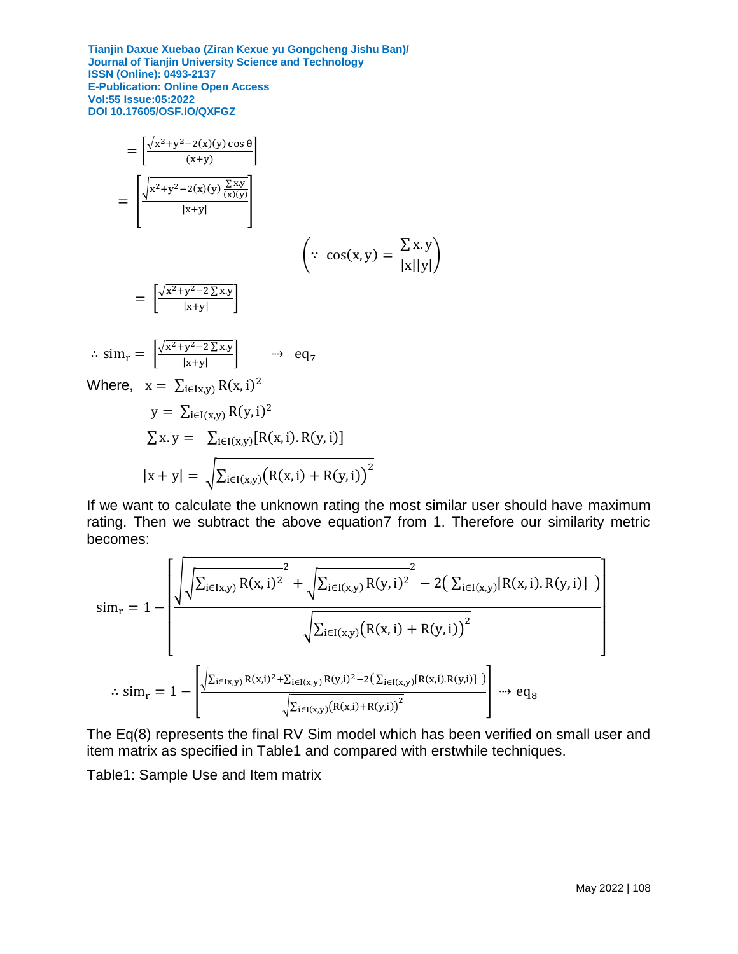$$
= \left[\frac{\sqrt{x^2+y^2-2(x)(y)\cos\theta}}{(x+y)}\right]
$$
  
\n
$$
= \left[\frac{\sqrt{x^2+y^2-2(x)(y)\frac{\sum xy}{(x)(y)}}}{|x+y|}\right]
$$
  
\n
$$
= \left[\frac{\sqrt{x^2+y^2-2\sum xy}}{|x+y|}\right]
$$
  
\n
$$
\therefore \sin_r = \left[\frac{\sqrt{x^2+y^2-2\sum xy}}{|x+y|}\right] \implies eq_7
$$
  
\nWhere,  $x = \sum_{i\in I(x,y)} R(x,i)^2$   
\n $y = \sum_{i\in I(x,y)} R(y,i)^2$   
\n
$$
\sum x.y = \sum_{i\in I(x,y)} [R(x,i).R(y,i)]
$$
  
\n
$$
|x+y| = \sqrt{\sum_{i\in I(x,y)} (R(x,i) + R(y,i))^2}
$$

 $\therefore$ 

If we want to calculate the unknown rating the most similar user should have maximum rating. Then we subtract the above equation7 from 1. Therefore our similarity metric becomes:

$$
\begin{aligned} \text{sim}_{r} &= 1 - \left[ \frac{\sqrt{\sqrt{\sum_{i \in I(x,y)} R(x,i)^2}} + \sqrt{\sum_{i \in I(x,y)} R(y,i)^2} - 2\big(\sum_{i \in I(x,y)} [R(x,i), R(y,i)]\big)}{\sqrt{\sum_{i \in I(x,y)} (R(x,i) + R(y,i))^2}} \right] \\ &\qquad \qquad \ddots \text{sim}_{r} &= 1 - \left[ \frac{\sqrt{\sum_{i \in I(x,y)} R(x,i)^2 + \sum_{i \in I(x,y)} R(y,i)^2 - 2\big(\sum_{i \in I(x,y)} [R(x,i), R(y,i)]\big)}\big)}{\sqrt{\sum_{i \in I(x,y)} (R(x,i) + R(y,i))^2}} \right] \overset{}{\longrightarrow} \text{eq}_{8} \end{aligned}
$$

The Eq(8) represents the final RV Sim model which has been verified on small user and item matrix as specified in Table1 and compared with erstwhile techniques.

Table1: Sample Use and Item matrix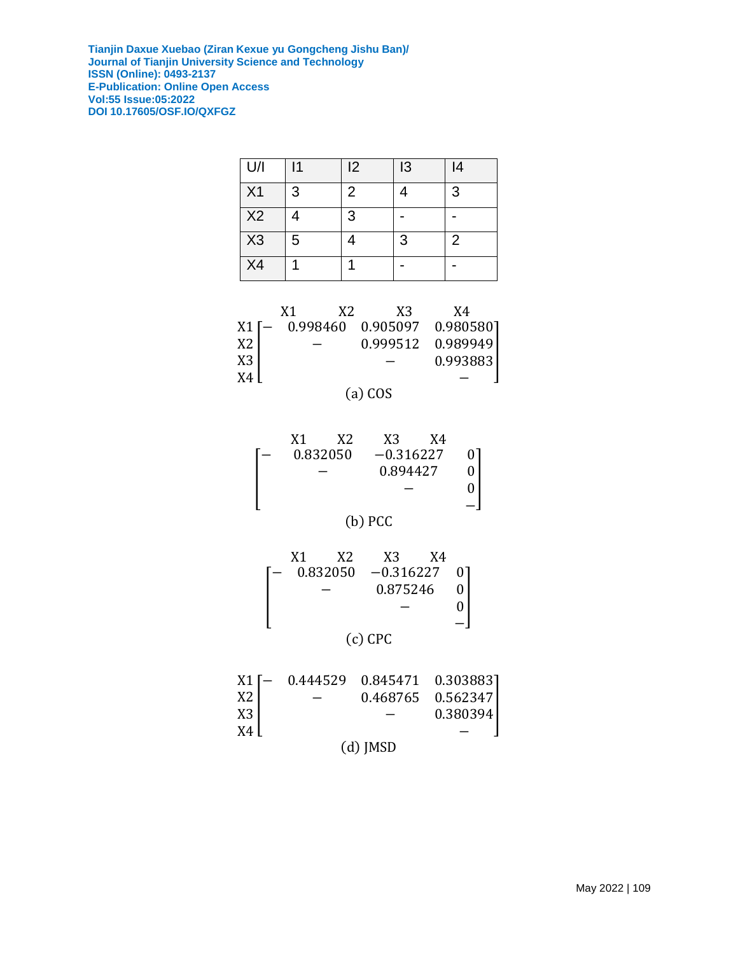| U/I            | 11 | 2 | 13 | 4 |
|----------------|----|---|----|---|
| X <sub>1</sub> | 3  | 2 |    | 3 |
| X <sub>2</sub> |    | 3 |    |   |
| X3             | 5  |   | 3  | 2 |
| X4             |    |   |    |   |

|    | X1 | X2 | X3                                | X4       |  |
|----|----|----|-----------------------------------|----------|--|
|    |    |    | X1 [- 0.998460 0.905097 0.980580] |          |  |
| X2 |    |    | 0.999512  0.989949                |          |  |
| X3 |    |    |                                   | 0.993883 |  |
| X4 |    |    |                                   |          |  |



| X1 | X2       | X3          | X4 |  |
|----|----------|-------------|----|--|
|    | 0.832050 | $-0.316227$ |    |  |
|    |          | 0.894427    |    |  |
|    |          |             |    |  |
|    |          |             |    |  |

(b) PCC

| X1. | X2. | X <sub>3</sub><br>$0.832050 -0.316227 0$ | X4 |  |
|-----|-----|------------------------------------------|----|--|
|     |     | 0.875246                                 |    |  |
|     |     |                                          |    |  |
|     |     |                                          |    |  |



|  |                                                                                                                                                                                                                   | $0.468765$ $0.562347$ |
|--|-------------------------------------------------------------------------------------------------------------------------------------------------------------------------------------------------------------------|-----------------------|
|  | $\begin{array}{c} \rm X1 \left[ \begin{matrix} - & 0.444529 & 0.845471 & 0.303883 \\ & - & 0.468765 & 0.562347 \\ \rm X3 \end{matrix} \end{array} \right] \hspace{0.06cm} - \hspace{0.06cm} 0.380394 \end{array}$ | 0.380394              |
|  |                                                                                                                                                                                                                   |                       |
|  | $(d)$ JMSD                                                                                                                                                                                                        |                       |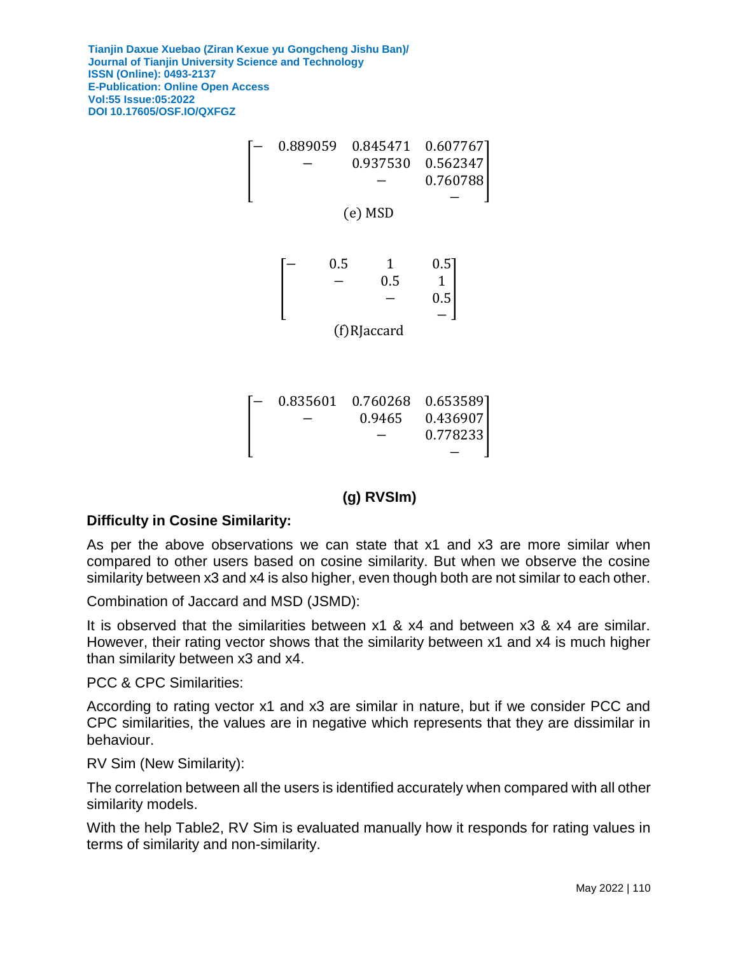

## **(g) RVSIm)**

## **Difficulty in Cosine Similarity:**

As per the above observations we can state that x1 and x3 are more similar when compared to other users based on cosine similarity. But when we observe the cosine similarity between x3 and x4 is also higher, even though both are not similar to each other.

Combination of Jaccard and MSD (JSMD):

It is observed that the similarities between x1 & x4 and between x3 & x4 are similar. However, their rating vector shows that the similarity between x1 and x4 is much higher than similarity between x3 and x4.

PCC & CPC Similarities:

According to rating vector x1 and x3 are similar in nature, but if we consider PCC and CPC similarities, the values are in negative which represents that they are dissimilar in behaviour.

RV Sim (New Similarity):

The correlation between all the users is identified accurately when compared with all other similarity models.

With the help Table2, RV Sim is evaluated manually how it responds for rating values in terms of similarity and non-similarity.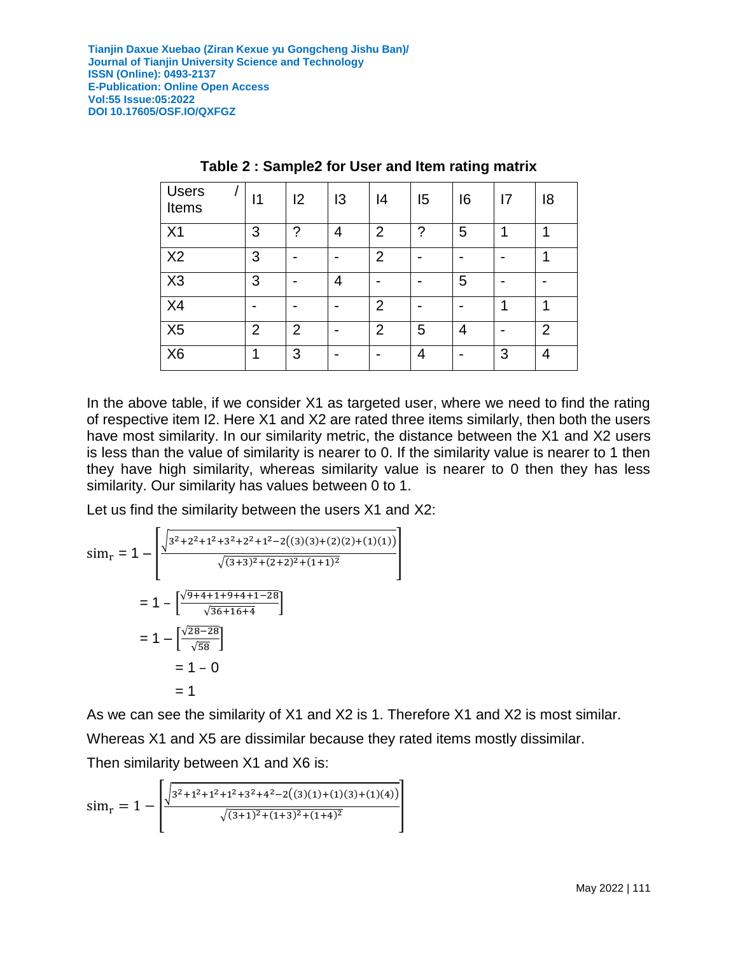| <b>Users</b><br>Items | 11             | 2              | 13 | 14             | 15 | 16 | 17 | 18             |
|-----------------------|----------------|----------------|----|----------------|----|----|----|----------------|
| X <sub>1</sub>        | 3              | ?              | 4  | $\overline{2}$ | 2  | 5  |    |                |
| X <sub>2</sub>        | 3              |                |    | $\overline{2}$ |    |    |    |                |
| X3                    | 3              |                | 4  |                |    | 5  |    |                |
| X4                    |                |                |    | $\overline{2}$ |    |    |    |                |
| X <sub>5</sub>        | $\overline{2}$ | $\overline{2}$ |    | 2              | 5  | 4  |    | $\overline{2}$ |
| X <sub>6</sub>        |                | 3              |    |                | 4  |    | 3  | 4              |

#### **Table 2 : Sample2 for User and Item rating matrix**

In the above table, if we consider X1 as targeted user, where we need to find the rating of respective item I2. Here X1 and X2 are rated three items similarly, then both the users have most similarity. In our similarity metric, the distance between the X1 and X2 users is less than the value of similarity is nearer to 0. If the similarity value is nearer to 1 then they have high similarity, whereas similarity value is nearer to 0 then they has less similarity. Our similarity has values between 0 to 1.

Let us find the similarity between the users X1 and X2:

$$
\sinh_r = 1 - \left[ \frac{\sqrt{3^2 + 2^2 + 1^2 + 3^2 + 2^2 + 1^2 - 2((3)(3) + (2)(2) + (1)(1))}}{\sqrt{(3+3)^2 + (2+2)^2 + (1+1)^2}} \right]
$$
  
= 1 - \left[ \frac{\sqrt{9 + 4 + 1 + 9 + 4 + 1 - 28}}{\sqrt{36 + 16 + 4}} \right]  
= 1 - \left[ \frac{\sqrt{28 - 28}}{\sqrt{58}} \right]  
= 1 - 0  
= 1

As we can see the similarity of X1 and X2 is 1. Therefore X1 and X2 is most similar. Whereas X1 and X5 are dissimilar because they rated items mostly dissimilar.

Then similarity between X1 and X6 is:

$$
\text{sim}_{\text{r}} = 1 - \left\lfloor \frac{\sqrt{3^2 + 1^2 + 1^2 + 1^2 + 3^2 + 4^2 - 2((3)(1) + (1)(3) + (1)(4))}}{\sqrt{(3+1)^2 + (1+3)^2 + (1+4)^2}} \right\rfloor
$$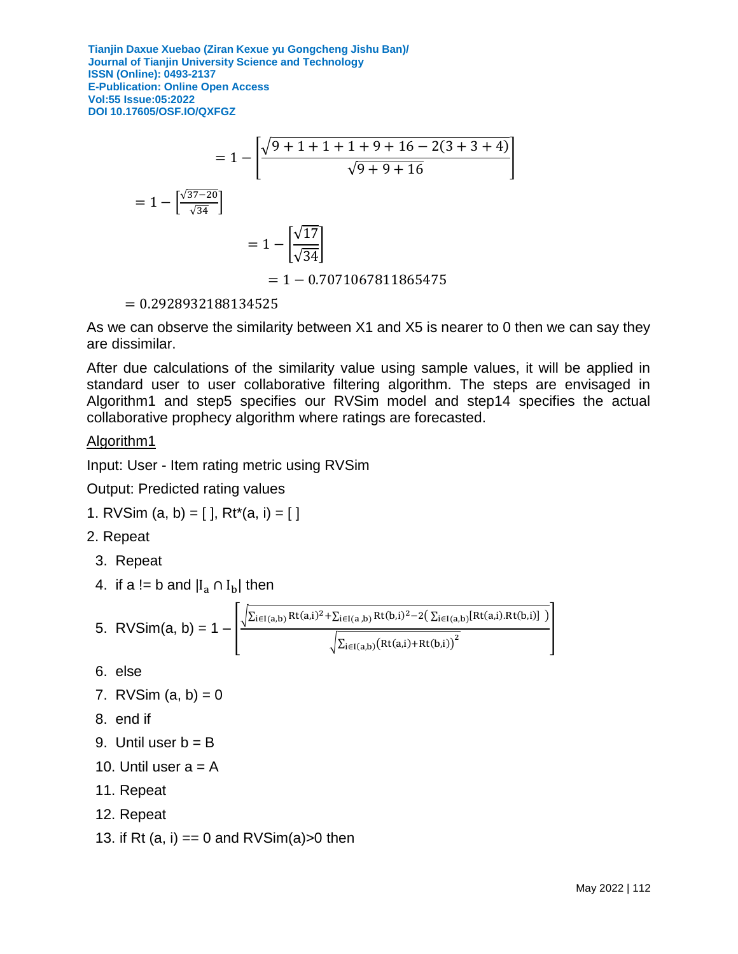$$
= 1 - \left[ \frac{\sqrt{9 + 1 + 1 + 1 + 9 + 16 - 2(3 + 3 + 4)}}{\sqrt{9 + 9 + 16}} \right]
$$

$$
= 1 - \left[ \frac{\sqrt{37 - 20}}{\sqrt{34}} \right]
$$

$$
= 1 - \left[ \frac{\sqrt{17}}{\sqrt{34}} \right]
$$

$$
= 1 - 0.7071067811865475
$$

= 0.2928932188134525

As we can observe the similarity between X1 and X5 is nearer to 0 then we can say they are dissimilar.

After due calculations of the similarity value using sample values, it will be applied in standard user to user collaborative filtering algorithm. The steps are envisaged in Algorithm1 and step5 specifies our RVSim model and step14 specifies the actual collaborative prophecy algorithm where ratings are forecasted.

#### Algorithm1

Input: User - Item rating metric using RVSim

Output: Predicted rating values

1. RVSim 
$$
(a, b) = [ ]
$$
,  $Rt^*(a, i) = [ ]$ 

- 2. Repeat
- 3. Repeat
- 4. if a != b and  $|I_a \cap I_b|$  then

5. RVSim(a, b) = 1 - 
$$
\frac{\sqrt{\sum_{i \in I(a,b)} Rt(a,i)^2 + \sum_{i \in I(a,b)} Rt(b,i)^2 - 2(\sum_{i \in I(a,b)} [Rt(a,i). Rt(b,i)]})}{\sqrt{\sum_{i \in I(a,b)} (Rt(a,i) + Rt(b,i))^2}}
$$

- 6. else
- 7. RVSim  $(a, b) = 0$
- 8. end if
- 9. Until user  $b = B$
- 10. Until user  $a = A$
- 11. Repeat
- 12. Repeat
- 13. if Rt  $(a, i) == 0$  and RVSim $(a) > 0$  then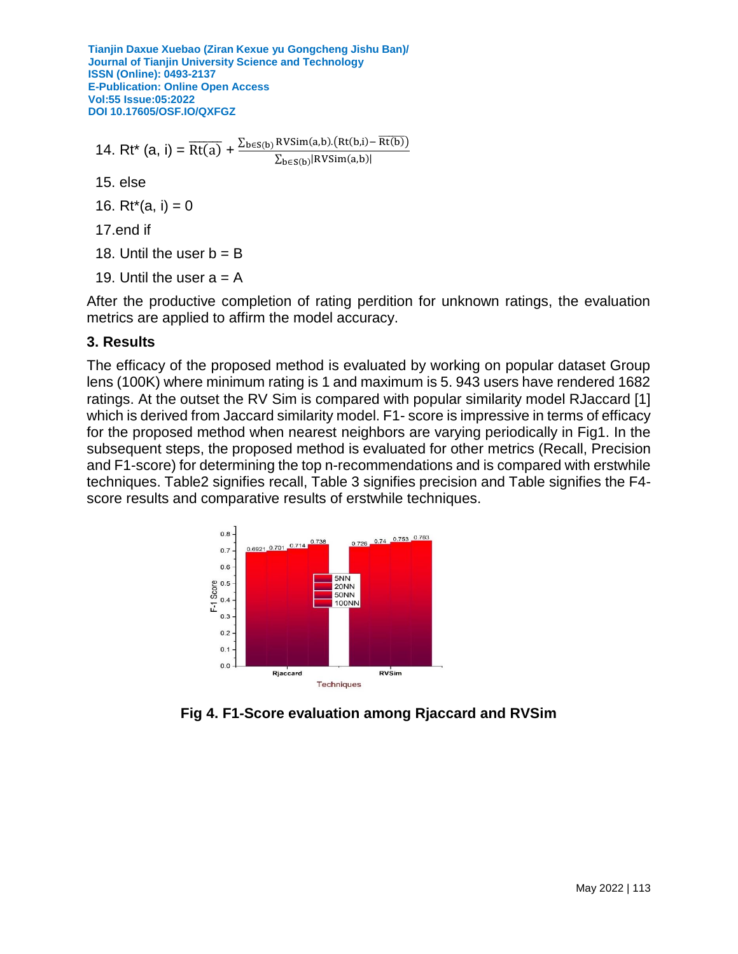14. Rt<sup>\*</sup> (a, i) =  $\frac{\overline{Rt(a)}}{Rt(a)} + \frac{\sum_{b \in S(b)} RVsim(a,b)}{S} \cdot \frac{Rt(b,i) - \overline{Rt(b)}}{Rt(b,i)}$  $\Sigma_{\mathbf{b}\in\mathbf{S}(\mathbf{b})}$ |RVSim $(\mathbf{a},\mathbf{b})$ | 15. else 16.  $Rt^*(a, i) = 0$ 

17.end if

- 18. Until the user  $b = B$
- 19. Until the user  $a = A$

After the productive completion of rating perdition for unknown ratings, the evaluation metrics are applied to affirm the model accuracy.

## **3. Results**

The efficacy of the proposed method is evaluated by working on popular dataset Group lens (100K) where minimum rating is 1 and maximum is 5. 943 users have rendered 1682 ratings. At the outset the RV Sim is compared with popular similarity model RJaccard [1] which is derived from Jaccard similarity model. F1- score is impressive in terms of efficacy for the proposed method when nearest neighbors are varying periodically in Fig1. In the subsequent steps, the proposed method is evaluated for other metrics (Recall, Precision and F1-score) for determining the top n-recommendations and is compared with erstwhile techniques. Table2 signifies recall, Table 3 signifies precision and Table signifies the F4 score results and comparative results of erstwhile techniques.



**Fig 4. F1-Score evaluation among Rjaccard and RVSim**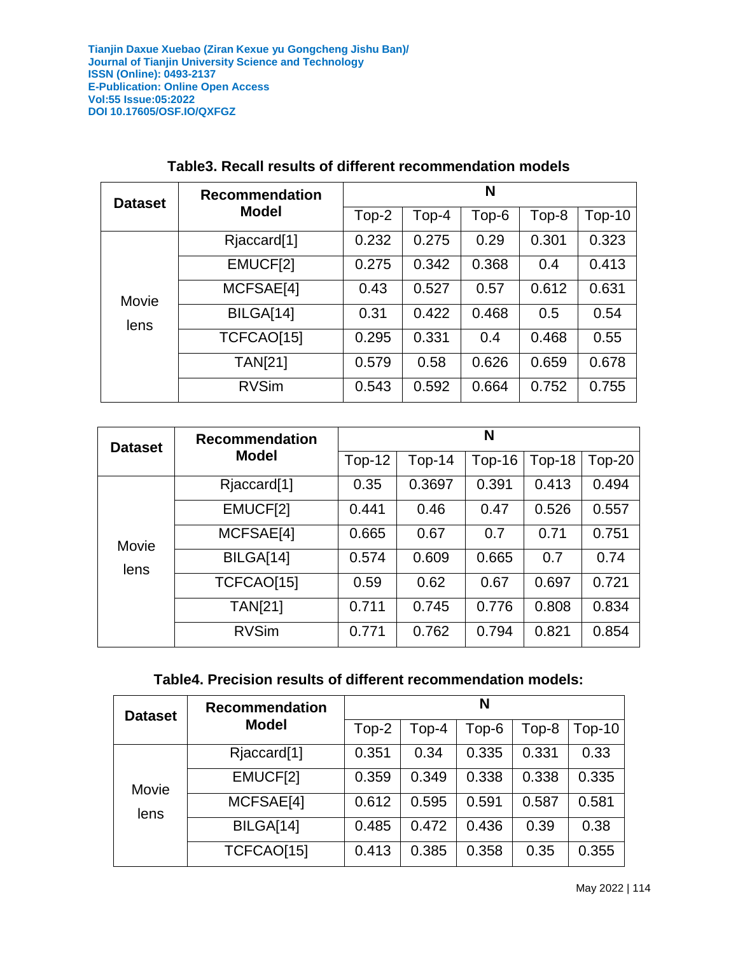| <b>Dataset</b> | <b>Recommendation</b>   | N     |       |       |       |          |  |
|----------------|-------------------------|-------|-------|-------|-------|----------|--|
|                | <b>Model</b>            | Top-2 | Top-4 | Top-6 | Top-8 | $Top-10$ |  |
|                | Rjaccard <sup>[1]</sup> | 0.232 | 0.275 | 0.29  | 0.301 | 0.323    |  |
| Movie          | EMUCF[2]                | 0.275 | 0.342 | 0.368 | 0.4   | 0.413    |  |
|                | MCFSAE[4]               | 0.43  | 0.527 | 0.57  | 0.612 | 0.631    |  |
| lens           | BILGA[14]               | 0.31  | 0.422 | 0.468 | 0.5   | 0.54     |  |
|                | TCFCAO[15]              | 0.295 | 0.331 | 0.4   | 0.468 | 0.55     |  |
|                | <b>TAN[21]</b>          | 0.579 | 0.58  | 0.626 | 0.659 | 0.678    |  |
|                | <b>RVSim</b>            | 0.543 | 0.592 | 0.664 | 0.752 | 0.755    |  |

#### **Table3. Recall results of different recommendation models**

| <b>Dataset</b> | <b>Recommendation</b>   | N        |          |          |               |          |  |
|----------------|-------------------------|----------|----------|----------|---------------|----------|--|
|                | <b>Model</b>            | $Top-12$ | $Top-14$ | $Top-16$ | <b>Top-18</b> | $Top-20$ |  |
| Movie          | Rjaccard <sup>[1]</sup> | 0.35     | 0.3697   | 0.391    | 0.413         | 0.494    |  |
|                | EMUCF[2]                | 0.441    | 0.46     | 0.47     | 0.526         | 0.557    |  |
|                | MCFSAE[4]               | 0.665    | 0.67     | 0.7      | 0.71          | 0.751    |  |
| lens           | BILGA[14]               | 0.574    | 0.609    | 0.665    | 0.7           | 0.74     |  |
|                | TCFCAO[15]              | 0.59     | 0.62     | 0.67     | 0.697         | 0.721    |  |
|                | <b>TAN[21]</b>          | 0.711    | 0.745    | 0.776    | 0.808         | 0.834    |  |
|                | <b>RVSim</b>            | 0.771    | 0.762    | 0.794    | 0.821         | 0.854    |  |

## **Table4. Precision results of different recommendation models:**

| <b>Dataset</b> | <b>Recommendation</b>   | N     |       |       |       |        |  |
|----------------|-------------------------|-------|-------|-------|-------|--------|--|
|                | <b>Model</b>            | Top-2 | Top-4 | Top-6 | Top-8 | Top-10 |  |
| Movie<br>lens  | Rjaccard <sup>[1]</sup> | 0.351 | 0.34  | 0.335 | 0.331 | 0.33   |  |
|                | EMUCF[2]                | 0.359 | 0.349 | 0.338 | 0.338 | 0.335  |  |
|                | MCFSAE[4]               | 0.612 | 0.595 | 0.591 | 0.587 | 0.581  |  |
|                | BILGA[14]               | 0.485 | 0.472 | 0.436 | 0.39  | 0.38   |  |
|                | TCFCAO[15]              | 0.413 | 0.385 | 0.358 | 0.35  | 0.355  |  |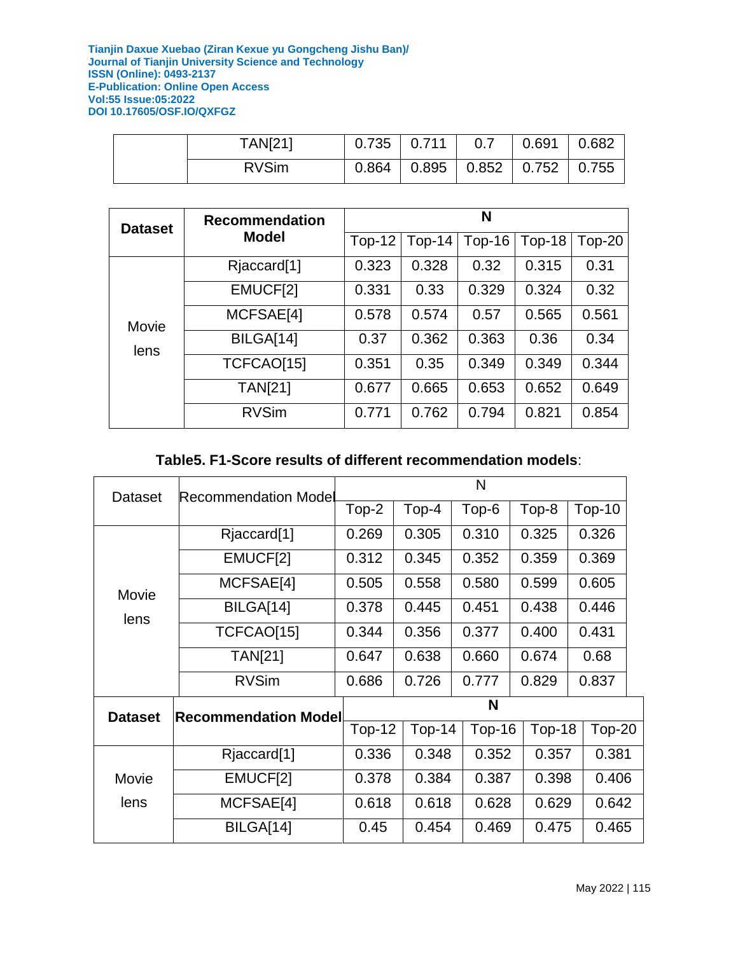| <b>TAN[21]</b> | $0.735$ 0.711 | 0.7 | 0.691                                                   | 0.682 |
|----------------|---------------|-----|---------------------------------------------------------|-------|
| <b>RVSim</b>   | 0.864         |     | $\vert$ 0.895 $\vert$ 0.852 $\vert$ 0.752 $\vert$ 0.755 |       |

| <b>Dataset</b> | <b>Recommendation</b>   | N        |          |          |        |        |  |
|----------------|-------------------------|----------|----------|----------|--------|--------|--|
|                | <b>Model</b>            | $Top-12$ | $Top-14$ | $Top-16$ | Top-18 | Top-20 |  |
|                | Rjaccard <sup>[1]</sup> | 0.323    | 0.328    | 0.32     | 0.315  | 0.31   |  |
| Movie          | EMUCF[2]                | 0.331    | 0.33     | 0.329    | 0.324  | 0.32   |  |
|                | MCFSAE[4]               | 0.578    | 0.574    | 0.57     | 0.565  | 0.561  |  |
| lens           | BILGA[14]               | 0.37     | 0.362    | 0.363    | 0.36   | 0.34   |  |
|                | TCFCAO[15]              | 0.351    | 0.35     | 0.349    | 0.349  | 0.344  |  |
|                | <b>TAN[21]</b>          | 0.677    | 0.665    | 0.653    | 0.652  | 0.649  |  |
|                | <b>RVSim</b>            | 0.771    | 0.762    | 0.794    | 0.821  | 0.854  |  |

## **Table5. F1-Score results of different recommendation models**:

| <b>Dataset</b> | <b>Recommendation Model</b> | N        |          |        |        |          |  |  |
|----------------|-----------------------------|----------|----------|--------|--------|----------|--|--|
|                |                             | Top-2    | Top-4    | Top-6  | Top-8  | $Top-10$ |  |  |
|                | Rjaccard <sup>[1]</sup>     | 0.269    | 0.305    | 0.310  | 0.325  | 0.326    |  |  |
|                | EMUCF[2]                    | 0.312    | 0.345    | 0.352  | 0.359  | 0.369    |  |  |
| Movie          | MCFSAE[4]                   | 0.505    | 0.558    | 0.580  | 0.599  | 0.605    |  |  |
| lens           | BILGA[14]                   | 0.378    | 0.445    | 0.451  | 0.438  | 0.446    |  |  |
|                | TCFCAO[15]                  | 0.344    | 0.356    | 0.377  | 0.400  | 0.431    |  |  |
|                | <b>TAN[21]</b>              | 0.647    | 0.638    | 0.660  | 0.674  | 0.68     |  |  |
|                | <b>RVSim</b>                | 0.686    | 0.726    | 0.777  | 0.829  | 0.837    |  |  |
| <b>Dataset</b> | <b>Recommendation Model</b> | N        |          |        |        |          |  |  |
|                |                             | $Top-12$ | $Top-14$ | Top-16 | Top-18 | $Top-20$ |  |  |
|                | Rjaccard <sup>[1]</sup>     | 0.336    | 0.348    | 0.352  | 0.357  | 0.381    |  |  |
| Movie          | EMUCF[2]                    | 0.378    | 0.384    | 0.387  | 0.398  | 0.406    |  |  |
| lens           | MCFSAE[4]                   | 0.618    | 0.618    | 0.628  | 0.629  | 0.642    |  |  |
|                | BILGA[14]                   | 0.45     | 0.454    | 0.469  | 0.475  | 0.465    |  |  |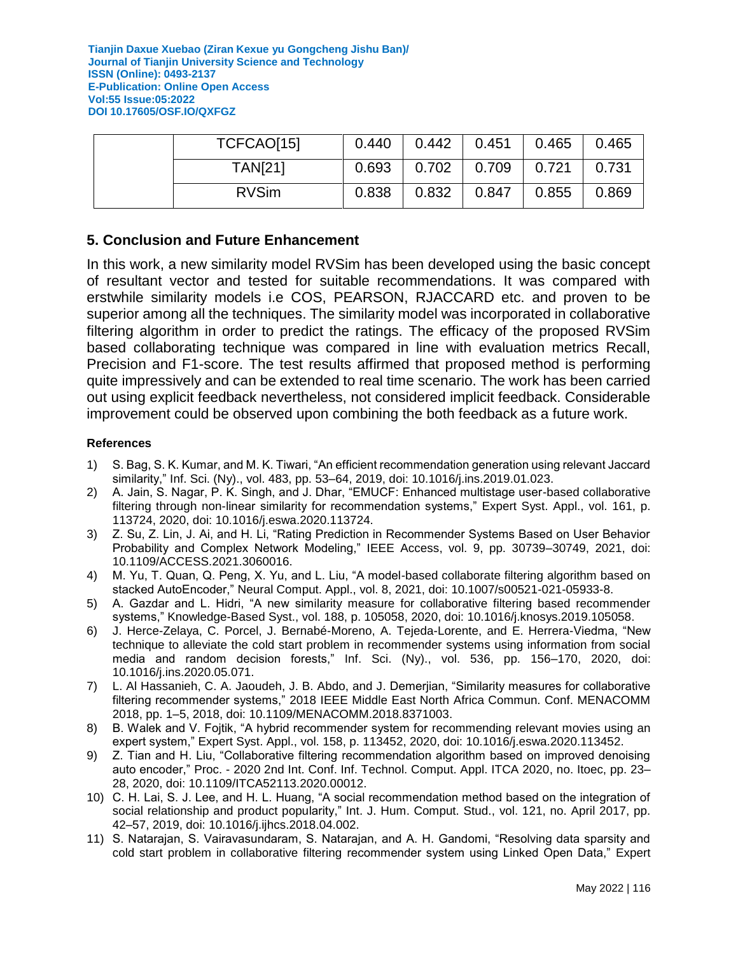|  | TCFCAO[15]     | 0.440 | 0.442 | 0.451 | 0.465 | 0.465 |
|--|----------------|-------|-------|-------|-------|-------|
|  | <b>TAN[21]</b> | 0.693 | 0.702 | 0.709 | 0.721 | 0.731 |
|  | <b>RVSim</b>   | 0.838 | 0.832 | 0.847 | 0.855 | 0.869 |

#### **5. Conclusion and Future Enhancement**

In this work, a new similarity model RVSim has been developed using the basic concept of resultant vector and tested for suitable recommendations. It was compared with erstwhile similarity models i.e COS, PEARSON, RJACCARD etc. and proven to be superior among all the techniques. The similarity model was incorporated in collaborative filtering algorithm in order to predict the ratings. The efficacy of the proposed RVSim based collaborating technique was compared in line with evaluation metrics Recall, Precision and F1-score. The test results affirmed that proposed method is performing quite impressively and can be extended to real time scenario. The work has been carried out using explicit feedback nevertheless, not considered implicit feedback. Considerable improvement could be observed upon combining the both feedback as a future work.

#### **References**

- 1) S. Bag, S. K. Kumar, and M. K. Tiwari, "An efficient recommendation generation using relevant Jaccard similarity," Inf. Sci. (Ny)., vol. 483, pp. 53–64, 2019, doi: 10.1016/j.ins.2019.01.023.
- 2) A. Jain, S. Nagar, P. K. Singh, and J. Dhar, "EMUCF: Enhanced multistage user-based collaborative filtering through non-linear similarity for recommendation systems," Expert Syst. Appl., vol. 161, p. 113724, 2020, doi: 10.1016/j.eswa.2020.113724.
- 3) Z. Su, Z. Lin, J. Ai, and H. Li, "Rating Prediction in Recommender Systems Based on User Behavior Probability and Complex Network Modeling," IEEE Access, vol. 9, pp. 30739–30749, 2021, doi: 10.1109/ACCESS.2021.3060016.
- 4) M. Yu, T. Quan, Q. Peng, X. Yu, and L. Liu, "A model-based collaborate filtering algorithm based on stacked AutoEncoder," Neural Comput. Appl., vol. 8, 2021, doi: 10.1007/s00521-021-05933-8.
- 5) A. Gazdar and L. Hidri, "A new similarity measure for collaborative filtering based recommender systems," Knowledge-Based Syst., vol. 188, p. 105058, 2020, doi: 10.1016/j.knosys.2019.105058.
- 6) J. Herce-Zelaya, C. Porcel, J. Bernabé-Moreno, A. Tejeda-Lorente, and E. Herrera-Viedma, "New technique to alleviate the cold start problem in recommender systems using information from social media and random decision forests," Inf. Sci. (Ny)., vol. 536, pp. 156–170, 2020, doi: 10.1016/j.ins.2020.05.071.
- 7) L. Al Hassanieh, C. A. Jaoudeh, J. B. Abdo, and J. Demerjian, "Similarity measures for collaborative filtering recommender systems," 2018 IEEE Middle East North Africa Commun. Conf. MENACOMM 2018, pp. 1–5, 2018, doi: 10.1109/MENACOMM.2018.8371003.
- 8) B. Walek and V. Fojtik, "A hybrid recommender system for recommending relevant movies using an expert system," Expert Syst. Appl., vol. 158, p. 113452, 2020, doi: 10.1016/j.eswa.2020.113452.
- 9) Z. Tian and H. Liu, "Collaborative filtering recommendation algorithm based on improved denoising auto encoder," Proc. - 2020 2nd Int. Conf. Inf. Technol. Comput. Appl. ITCA 2020, no. Itoec, pp. 23– 28, 2020, doi: 10.1109/ITCA52113.2020.00012.
- 10) C. H. Lai, S. J. Lee, and H. L. Huang, "A social recommendation method based on the integration of social relationship and product popularity," Int. J. Hum. Comput. Stud., vol. 121, no. April 2017, pp. 42–57, 2019, doi: 10.1016/j.ijhcs.2018.04.002.
- 11) S. Natarajan, S. Vairavasundaram, S. Natarajan, and A. H. Gandomi, "Resolving data sparsity and cold start problem in collaborative filtering recommender system using Linked Open Data," Expert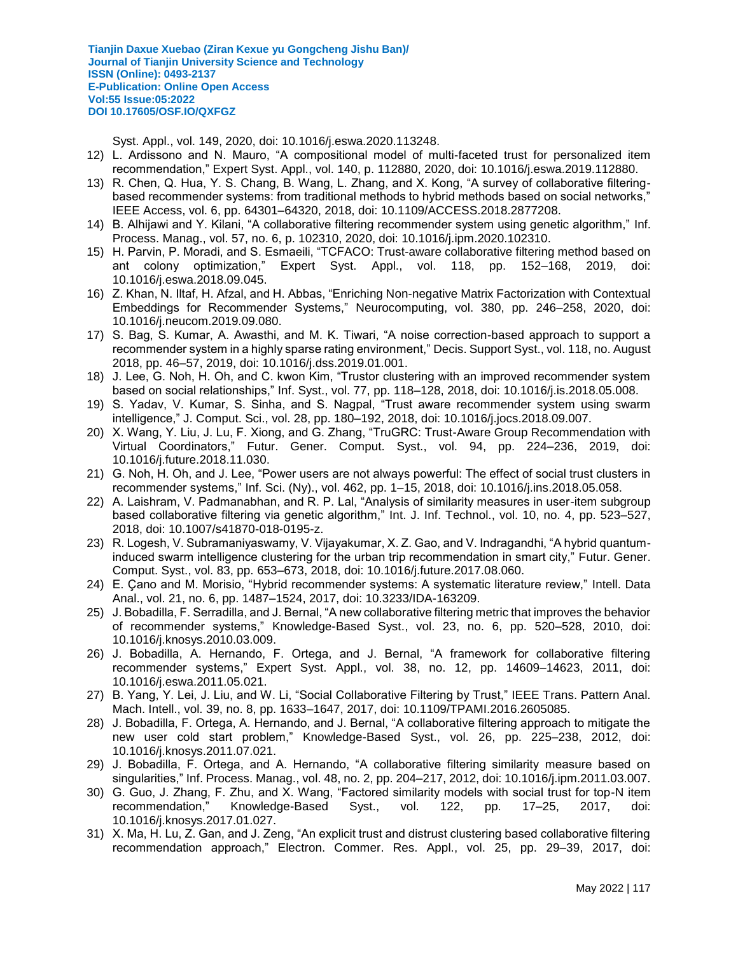Syst. Appl., vol. 149, 2020, doi: 10.1016/j.eswa.2020.113248.

- 12) L. Ardissono and N. Mauro, "A compositional model of multi-faceted trust for personalized item recommendation," Expert Syst. Appl., vol. 140, p. 112880, 2020, doi: 10.1016/j.eswa.2019.112880.
- 13) R. Chen, Q. Hua, Y. S. Chang, B. Wang, L. Zhang, and X. Kong, "A survey of collaborative filteringbased recommender systems: from traditional methods to hybrid methods based on social networks," IEEE Access, vol. 6, pp. 64301–64320, 2018, doi: 10.1109/ACCESS.2018.2877208.
- 14) B. Alhijawi and Y. Kilani, "A collaborative filtering recommender system using genetic algorithm," Inf. Process. Manag., vol. 57, no. 6, p. 102310, 2020, doi: 10.1016/j.ipm.2020.102310.
- 15) H. Parvin, P. Moradi, and S. Esmaeili, "TCFACO: Trust-aware collaborative filtering method based on ant colony optimization," Expert Syst. Appl., vol. 118, pp. 152–168, 2019, doi: 10.1016/j.eswa.2018.09.045.
- 16) Z. Khan, N. Iltaf, H. Afzal, and H. Abbas, "Enriching Non-negative Matrix Factorization with Contextual Embeddings for Recommender Systems," Neurocomputing, vol. 380, pp. 246–258, 2020, doi: 10.1016/j.neucom.2019.09.080.
- 17) S. Bag, S. Kumar, A. Awasthi, and M. K. Tiwari, "A noise correction-based approach to support a recommender system in a highly sparse rating environment," Decis. Support Syst., vol. 118, no. August 2018, pp. 46–57, 2019, doi: 10.1016/j.dss.2019.01.001.
- 18) J. Lee, G. Noh, H. Oh, and C. kwon Kim, "Trustor clustering with an improved recommender system based on social relationships," Inf. Syst., vol. 77, pp. 118–128, 2018, doi: 10.1016/j.is.2018.05.008.
- 19) S. Yadav, V. Kumar, S. Sinha, and S. Nagpal, "Trust aware recommender system using swarm intelligence," J. Comput. Sci., vol. 28, pp. 180–192, 2018, doi: 10.1016/j.jocs.2018.09.007.
- 20) X. Wang, Y. Liu, J. Lu, F. Xiong, and G. Zhang, "TruGRC: Trust-Aware Group Recommendation with Virtual Coordinators," Futur. Gener. Comput. Syst., vol. 94, pp. 224–236, 2019, doi: 10.1016/j.future.2018.11.030.
- 21) G. Noh, H. Oh, and J. Lee, "Power users are not always powerful: The effect of social trust clusters in recommender systems," Inf. Sci. (Ny)., vol. 462, pp. 1–15, 2018, doi: 10.1016/j.ins.2018.05.058.
- 22) A. Laishram, V. Padmanabhan, and R. P. Lal, "Analysis of similarity measures in user-item subgroup based collaborative filtering via genetic algorithm," Int. J. Inf. Technol., vol. 10, no. 4, pp. 523–527, 2018, doi: 10.1007/s41870-018-0195-z.
- 23) R. Logesh, V. Subramaniyaswamy, V. Vijayakumar, X. Z. Gao, and V. Indragandhi, "A hybrid quantuminduced swarm intelligence clustering for the urban trip recommendation in smart city," Futur. Gener. Comput. Syst., vol. 83, pp. 653–673, 2018, doi: 10.1016/j.future.2017.08.060.
- 24) E. Çano and M. Morisio, "Hybrid recommender systems: A systematic literature review," Intell. Data Anal., vol. 21, no. 6, pp. 1487–1524, 2017, doi: 10.3233/IDA-163209.
- 25) J. Bobadilla, F. Serradilla, and J. Bernal, "A new collaborative filtering metric that improves the behavior of recommender systems," Knowledge-Based Syst., vol. 23, no. 6, pp. 520–528, 2010, doi: 10.1016/j.knosys.2010.03.009.
- 26) J. Bobadilla, A. Hernando, F. Ortega, and J. Bernal, "A framework for collaborative filtering recommender systems," Expert Syst. Appl., vol. 38, no. 12, pp. 14609–14623, 2011, doi: 10.1016/j.eswa.2011.05.021.
- 27) B. Yang, Y. Lei, J. Liu, and W. Li, "Social Collaborative Filtering by Trust," IEEE Trans. Pattern Anal. Mach. Intell., vol. 39, no. 8, pp. 1633–1647, 2017, doi: 10.1109/TPAMI.2016.2605085.
- 28) J. Bobadilla, F. Ortega, A. Hernando, and J. Bernal, "A collaborative filtering approach to mitigate the new user cold start problem," Knowledge-Based Syst., vol. 26, pp. 225–238, 2012, doi: 10.1016/j.knosys.2011.07.021.
- 29) J. Bobadilla, F. Ortega, and A. Hernando, "A collaborative filtering similarity measure based on singularities," Inf. Process. Manag., vol. 48, no. 2, pp. 204–217, 2012, doi: 10.1016/j.ipm.2011.03.007.
- 30) G. Guo, J. Zhang, F. Zhu, and X. Wang, "Factored similarity models with social trust for top-N item recommendation," Knowledge-Based Syst., vol. 122, pp. 17–25, 2017, doi: 10.1016/j.knosys.2017.01.027.
- 31) X. Ma, H. Lu, Z. Gan, and J. Zeng, "An explicit trust and distrust clustering based collaborative filtering recommendation approach," Electron. Commer. Res. Appl., vol. 25, pp. 29–39, 2017, doi: